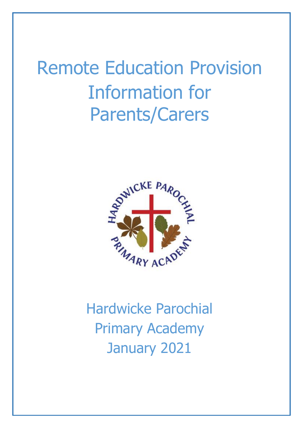# Remote Education Provision Information for Parents/Carers



Hardwicke Parochial Primary Academy January 2021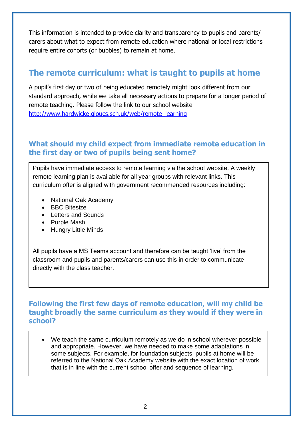This information is intended to provide clarity and transparency to pupils and parents/ carers about what to expect from remote education where national or local restrictions require entire cohorts (or bubbles) to remain at home.

# **The remote curriculum: what is taught to pupils at home**

A pupil's first day or two of being educated remotely might look different from our standard approach, while we take all necessary actions to prepare for a longer period of remote teaching. Please follow the link to our school website [http://www.hardwicke.gloucs.sch.uk/web/remote\\_learning](http://www.hardwicke.gloucs.sch.uk/web/remote_learning)

## **What should my child expect from immediate remote education in the first day or two of pupils being sent home?**

Pupils have immediate access to remote learning via the school website. A weekly remote learning plan is available for all year groups with relevant links. This curriculum offer is aligned with government recommended resources including:

- [National Oak Academy](https://www.thenational.academy/)
- [BBC Bitesize](https://www.bbc.co.uk/bitesize)
- [Letters and Sounds](https://lettersandsounds.org.uk/)
- [Purple Mash](https://www.purplemash.com/login/)
- [Hungry Little Minds](https://hungrylittleminds.campaign.gov.uk/)

All pupils have a MS Teams account and therefore can be taught 'live' from the classroom and pupils and parents/carers can use this in order to communicate directly with the class teacher.

#### **Following the first few days of remote education, will my child be taught broadly the same curriculum as they would if they were in school?**

 We teach the same curriculum remotely as we do in school wherever possible and appropriate. However, we have needed to make some adaptations in some subjects. For example, for foundation subjects, pupils at home will be referred to the [National Oak Academy](https://www.thenational.academy/) website with the exact location of work that is in line with the current school offer and sequence of learning.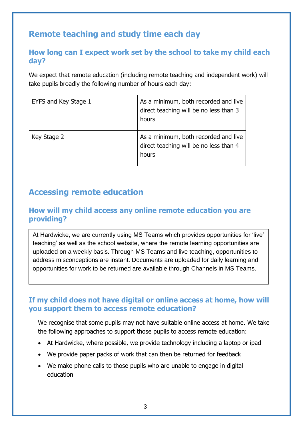# **Remote teaching and study time each day**

## **How long can I expect work set by the school to take my child each day?**

We expect that remote education (including remote teaching and independent work) will take pupils broadly the following number of hours each day:

| EYFS and Key Stage 1 | As a minimum, both recorded and live<br>direct teaching will be no less than 3<br>hours |
|----------------------|-----------------------------------------------------------------------------------------|
| Key Stage 2          | As a minimum, both recorded and live<br>direct teaching will be no less than 4<br>hours |

# **Accessing remote education**

#### **How will my child access any online remote education you are providing?**

At Hardwicke, we are currently using MS Teams which provides opportunities for 'live' teaching' as well as the school website, where the remote learning opportunities are uploaded on a weekly basis. Through MS Teams and live teaching, opportunities to address misconceptions are instant. Documents are uploaded for daily learning and opportunities for work to be returned are available through Channels in MS Teams.

#### **If my child does not have digital or online access at home, how will you support them to access remote education?**

We recognise that some pupils may not have suitable online access at home. We take the following approaches to support those pupils to access remote education:

- At Hardwicke, where possible, we provide technology including a laptop or ipad
- We provide paper packs of work that can then be returned for feedback
- We make phone calls to those pupils who are unable to engage in digital education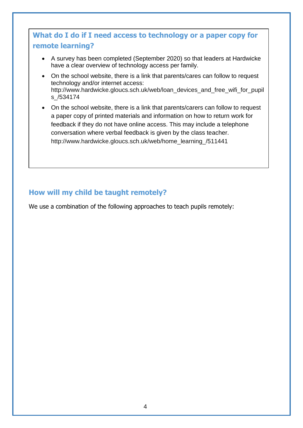# **What do I do if I need access to technology or a paper copy for remote learning?**

- A survey has been completed (September 2020) so that leaders at Hardwicke have a clear overview of technology access per family.
- On the school website, there is a link that parents/cares can follow to request technology and/or internet access: [http://www.hardwicke.gloucs.sch.uk/web/loan\\_devices\\_and\\_free\\_wifi\\_for\\_pupil](http://www.hardwicke.gloucs.sch.uk/web/loan_devices_and_free_wifi_for_pupils_/534174) [s\\_/534174](http://www.hardwicke.gloucs.sch.uk/web/loan_devices_and_free_wifi_for_pupils_/534174)
- On the school website, there is a link that parents/carers can follow to request a paper copy of printed materials and information on how to return work for feedback if they do not have online access. This may include a telephone conversation where verbal feedback is given by the class teacher. [http://www.hardwicke.gloucs.sch.uk/web/home\\_learning\\_/511441](http://www.hardwicke.gloucs.sch.uk/web/home_learning_/511441)

## **How will my child be taught remotely?**

We use a combination of the following approaches to teach pupils remotely: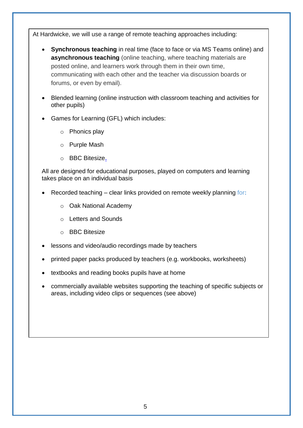At Hardwicke, we will use a range of remote teaching approaches including:

- **Synchronous teaching** in real time (face to face or via MS Teams online) and **asynchronous teaching** (online teaching, where teaching materials are posted online, and learners work through them in their own time, communicating with each other and the teacher via discussion boards or forums, or even by email).
- Blended learning (online instruction with classroom teaching and activities for other pupils)
- Games for Learning (GFL) which includes:
	- o [Phonics play](https://www.phonicsplay.co.uk/)
	- o [Purple Mash](https://www.purplemash.com/login/)
	- o [BBC Bitesize](https://www.bbc.co.uk/bitesize).

All are designed for educational purposes, played on computers and learning takes place on an individual basis

- Recorded teaching clear links provided on remote weekly planning for**:**
	- o [Oak National Academy](https://www.thenational.academy/)
	- o [Letters and Sounds](http://www.letters-and-sounds.com/)
	- o [BBC Bitesize](https://www.bbc.co.uk/bitesize)
- lessons and video/audio recordings made by teachers
- printed paper packs produced by teachers (e.g. workbooks, worksheets)
- textbooks and reading books pupils have at home
- commercially available websites supporting the teaching of specific subjects or areas, including video clips or sequences (see above)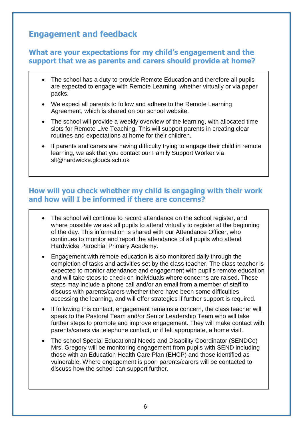# **Engagement and feedback**

#### **What are your expectations for my child's engagement and the support that we as parents and carers should provide at home?**

- The school has a duty to provide Remote Education and therefore all pupils are expected to engage with Remote Learning, whether virtually or via paper packs.
- We expect all parents to follow and adhere to the [Remote Learning](http://www.hardwicke.gloucs.sch.uk/web/policies/501674)  [Agreement,](http://www.hardwicke.gloucs.sch.uk/web/policies/501674) which is shared on our [school website.](http://www.hardwicke.gloucs.sch.uk/web/remote_learning_plan_/512473)
- The school will provide a weekly overview of the learning, with allocated time slots for Remote Live Teaching. This will support parents in creating clear routines and expectations at home for their children.
- If parents and carers are having difficulty trying to engage their child in remote learning, we ask that you contact our Family Support Worker via [slt@hardwicke.gloucs.sch.uk](mailto:slt@hardwicke.gloucs.sch.uk)

## **How will you check whether my child is engaging with their work and how will I be informed if there are concerns?**

- The school will continue to record attendance on the school register, and where possible we ask all pupils to attend virtually to register at the beginning of the day. This information is shared with our Attendance Officer, who continues to monitor and report the attendance of all pupils who attend Hardwicke Parochial Primary Academy.
- Engagement with remote education is also monitored daily through the completion of tasks and activities set by the class teacher. The class teacher is expected to monitor attendance and engagement with pupil's remote education and will take steps to check on individuals where concerns are raised. These steps may include a phone call and/or an email from a member of staff to discuss with parents/carers whether there have been some difficulties accessing the learning, and will offer strategies if further support is required.
- If following this contact, engagement remains a concern, the class teacher will speak to the Pastoral Team and/or Senior Leadership Team who will take further steps to promote and improve engagement. They will make contact with parents/carers via telephone contact, or if felt appropriate, a home visit.
- The school Special Educational Needs and Disability Coordinator (SENDCo) Mrs. Gregory will be monitoring engagement from pupils with SEND including those with an Education Health Care Plan (EHCP) and those identified as [vulnerable.](https://www.gov.uk/government/publications/coronavirus-covid-19-guidance-on-vulnerable-children-and-young-people/coronavirus-covid-19-guidance-on-vulnerable-children-and-young-people) Where engagement is poor, parents/carers will be contacted to discuss how the school can support further.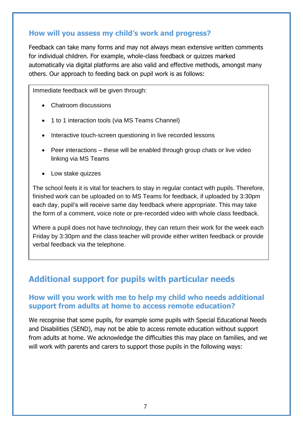### **How will you assess my child's work and progress?**

Feedback can take many forms and may not always mean extensive written comments for individual children. For example, whole-class feedback or quizzes marked automatically via digital platforms are also valid and effective methods, amongst many others. Our approach to feeding back on pupil work is as follows:

Immediate feedback will be given through:

- Chatroom discussions
- 1 to 1 interaction tools (via MS Teams Channel)
- Interactive touch-screen questioning in live recorded lessons
- Peer interactions these will be enabled through group chats or live video linking via MS Teams
- Low stake quizzes

The school feels it is vital for teachers to stay in regular contact with pupils. Therefore, finished work can be uploaded on to MS Teams for feedback, if uploaded by 3:30pm each day, pupil's will receive same day feedback where appropriate. This may take the form of a comment, voice note or pre-recorded video with whole class feedback.

Where a pupil does not have technology, they can return their work for the week each Friday by 3:30pm and the class teacher will provide either written feedback or provide verbal feedback via the telephone.

# **Additional support for pupils with particular needs**

## **How will you work with me to help my child who needs additional**  support from adults at home to access remote education?

We recognise that some pupils, for example some pupils with Special Educational Needs and Disabilities (SEND), may not be able to access remote education without support from adults at home. We acknowledge the difficulties this may place on families, and we will work with parents and carers to support those pupils in the following ways: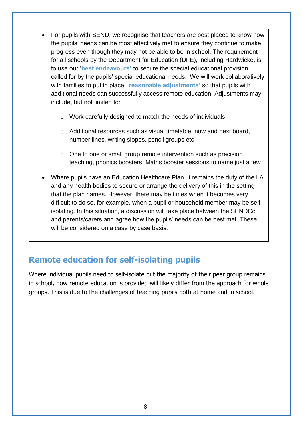- For pupils with SEND, we recognise that teachers are best placed to know how the pupils' needs can be most effectively met to ensure they continue to make progress even though they may not be able to be in school. The requirement for all schools by the Department for Education (DFE), including Hardwicke, is to use our '**best endeavours'** to secure the special educational provision called for by the pupils' special educational needs. We will work collaboratively with families to put in place, '**reasonable adjustments'** so that pupils with additional needs can successfully access remote education. Adjustments may include, but not limited to:
	- o Work carefully designed to match the needs of individuals
	- o Additional resources such as visual timetable, now and next board, number lines, writing slopes, pencil groups etc
	- o One to one or small group remote intervention such as precision teaching, phonics boosters, Maths booster sessions to name just a few
- Where pupils have an Education Healthcare Plan, it remains the duty of the LA and any health bodies to secure or arrange the delivery of this in the setting that the plan names. However, there may be times when it becomes very difficult to do so, for example, when a pupil or household member may be selfisolating. In this situation, a discussion will take place between the SENDCo and parents/carers and agree how the pupils' needs can be best met. These will be considered on a case by case basis.

# **Remote education for self-isolating pupils**

Where individual pupils need to self-isolate but the majority of their peer group remains in school, how remote education is provided will likely differ from the approach for whole groups. This is due to the challenges of teaching pupils both at home and in school.